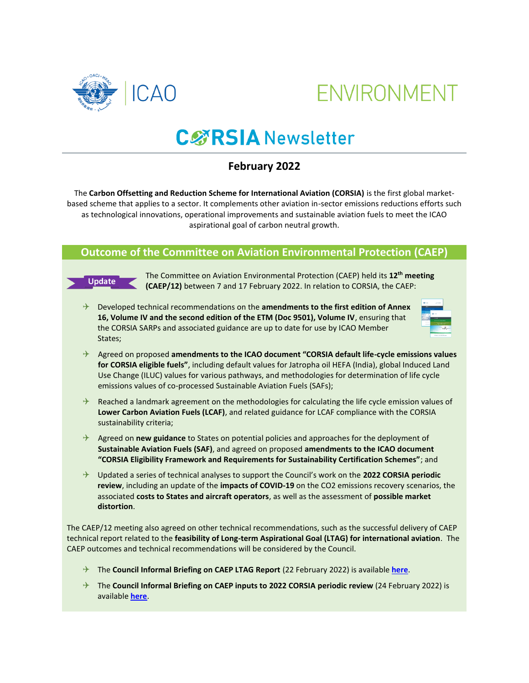



# **CØRSIA** Newsletter

# **February 2022**

The **Carbon Offsetting and Reduction Scheme for International Aviation (CORSIA)** is the first global marketbased scheme that applies to a sector. It complements other aviation in-sector emissions reductions efforts such as technological innovations, operational improvements and sustainable aviation fuels to meet the ICAO aspirational goal of carbon neutral growth.

### **Outcome of the Committee on Aviation Environmental Protection (CAEP)**



The Committee on Aviation Environmental Protection (CAEP) held its **12th meeting (CAEP/12)** between 7 and 17 February 2022. In relation to CORSIA, the CAEP:

 Developed technical recommendations on the **amendments to the first edition of Annex 16, Volume IV and the second edition of the ETM (Doc 9501), Volume IV**, ensuring that the CORSIA SARPs and associated guidance are up to date for use by ICAO Member States;



- Agreed on proposed **amendments to the ICAO document "CORSIA default life-cycle emissions values for CORSIA eligible fuels"**, including default values for Jatropha oil HEFA (India), global Induced Land Use Change (ILUC) values for various pathways, and methodologies for determination of life cycle emissions values of co-processed Sustainable Aviation Fuels (SAFs);
- $\rightarrow$  Reached a landmark agreement on the methodologies for calculating the life cycle emission values of **Lower Carbon Aviation Fuels (LCAF)**, and related guidance for LCAF compliance with the CORSIA sustainability criteria;
- Agreed on **new guidance** to States on potential policies and approaches for the deployment of **Sustainable Aviation Fuels (SAF)**, and agreed on proposed **amendments to the ICAO document "CORSIA Eligibility Framework and Requirements for Sustainability Certification Schemes"**; and
- Updated a series of technical analyses to support the Council's work on the **2022 CORSIA periodic review**, including an update of the **impacts of COVID-19** on the CO2 emissions recovery scenarios, the associated **costs to States and aircraft operators**, as well as the assessment of **possible market distortion**.

The CAEP/12 meeting also agreed on other technical recommendations, such as the successful delivery of CAEP technical report related to the **feasibility of Long-term Aspirational Goal (LTAG) for international aviation**. The CAEP outcomes and technical recommendations will be considered by the Council.

- The **Council Informal Briefing on CAEP LTAG Report** (22 February 2022) is available **[here](https://www.icao.tv/featured-category/videos/feasibility-study-by-caep)**.
- → The **Council Informal Briefing on CAEP inputs to 2022 CORSIA periodic review** (24 February 2022) is available **[here](https://www.icao.tv/featured-category/videos/informal-briefing-on-results-of-caep-12)**.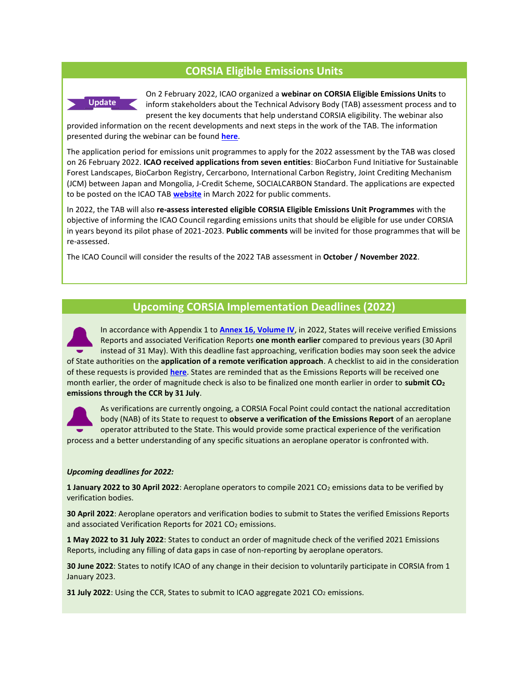# **CORSIA Eligible Emissions Units**



On 2 February 2022, ICAO organized a **webinar on CORSIA Eligible Emissions Units** to inform stakeholders about the Technical Advisory Body (TAB) assessment process and to present the key documents that help understand CORSIA eligibility. The webinar also

provided information on the recent developments and next steps in the work of the TAB. The information presented during the webinar can be found **[here](https://www.icao.int/environmental-protection/CORSIA/Pages/TAB.aspx)**.

The application period for emissions unit programmes to apply for the 2022 assessment by the TAB was closed on 26 February 2022. **ICAO received applications from seven entities**: BioCarbon Fund Initiative for Sustainable Forest Landscapes, BioCarbon Registry, Cercarbono, International Carbon Registry, Joint Crediting Mechanism (JCM) between Japan and Mongolia, J-Credit Scheme, SOCIALCARBON Standard. The applications are expected to be posted on the ICAO TAB **[website](https://www.icao.int/environmental-protection/CORSIA/Pages/TAB.aspx)** in March 2022 for public comments.

In 2022, the TAB will also **re-assess interested eligible CORSIA Eligible Emissions Unit Programmes** with the objective of informing the ICAO Council regarding emissions units that should be eligible for use under CORSIA in years beyond its pilot phase of 2021-2023. **Public comments** will be invited for those programmes that will be re-assessed.

The ICAO Council will consider the results of the 2022 TAB assessment in **October / November 2022**.

#### **Upcoming CORSIA Implementation Deadlines (2022)**

In accordance with Appendix 1 to **[Annex 16, Volume IV](https://www.icao.int/environmental-protection/CORSIA/Pages/SARPs-Annex-16-Volume-IV.aspx)**, in 2022, States will receive verified Emissions Reports and associated Verification Reports **one month earlier** compared to previous years (30 April instead of 31 May). With this deadline fast approaching, verification bodies may soon seek the advice of State authorities on the **application of a remote verification approach**. A checklist to aid in the consideration of these requests is provided **[here](https://www.icao.int/environmental-protection/CORSIA/Documents/Guidance%20remote%20verification%20(States).pdf)**. States are reminded that as the Emissions Reports will be received one month earlier, the order of magnitude check is also to be finalized one month earlier in order to **submit CO<sup>2</sup> emissions through the CCR by 31 July**.



As verifications are currently ongoing, a CORSIA Focal Point could contact the national accreditation body (NAB) of its State to request to **observe a verification of the Emissions Report** of an aeroplane operator attributed to the State. This would provide some practical experience of the verification

process and a better understanding of any specific situations an aeroplane operator is confronted with.

#### *Upcoming deadlines for 2022:*

**1 January 2022 to 30 April 2022**: Aeroplane operators to compile 2021 CO<sub>2</sub> emissions data to be verified by verification bodies.

**30 April 2022**: Aeroplane operators and verification bodies to submit to States the verified Emissions Reports and associated Verification Reports for 2021 CO<sub>2</sub> emissions.

**1 May 2022 to 31 July 2022**: States to conduct an order of magnitude check of the verified 2021 Emissions Reports, including any filling of data gaps in case of non-reporting by aeroplane operators.

**30 June 2022**: States to notify ICAO of any change in their decision to voluntarily participate in CORSIA from 1 January 2023.

**31 July 2022**: Using the CCR, States to submit to ICAO aggregate 2021 CO<sub>2</sub> emissions.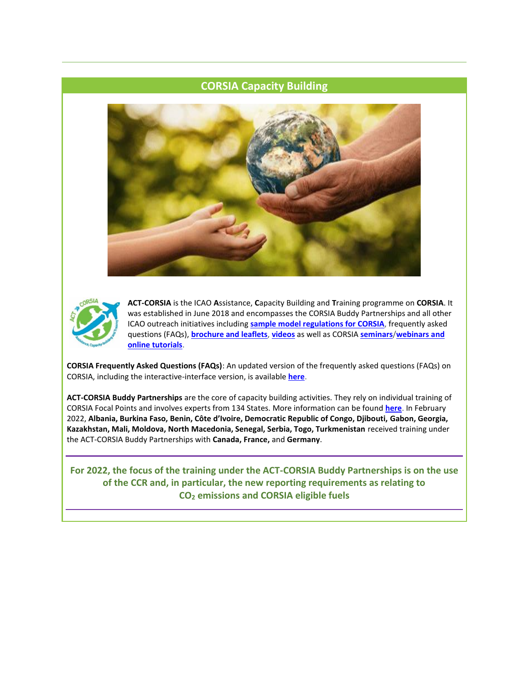# **CORSIA Capacity Building**





**ACT-CORSIA** is the ICAO **A**ssistance, **C**apacity Building and **T**raining programme on **CORSIA**. It was established in June 2018 and encompasses the CORSIA Buddy Partnerships and all other ICAO outreach initiatives including **[sample model regulations for CORSIA](https://www.icao.int/environmental-protection/CORSIA/Pages/Examples-Regulatory-Framework.aspx)**, frequently asked questions (FAQs), **[brochure and leaflets](https://www.icao.int/environmental-protection/CORSIA/Pages/CORSIA-communication.aspx)**, **[videos](https://www.icao.int/environmental-protection/CORSIA/Pages/CORSIA-Videos.aspx)** as well as CORSIA **[seminars](https://www.icao.int/environmental-protection/CORSIA/Pages/CORSIA-Seminars.aspx)**/**[webinars and](https://www.icao.int/environmental-protection/CORSIA/Pages/Online-Tutorials.aspx)  [online tutorials](https://www.icao.int/environmental-protection/CORSIA/Pages/Online-Tutorials.aspx)**.

**CORSIA Frequently Asked Questions (FAQs)**: An updated version of the frequently asked questions (FAQs) on CORSIA, including the interactive-interface version, is available **[here](https://www.icao.int/environmental-protection/CORSIA/Pages/CORSIA-FAQs.aspx)**.

**ACT-CORSIA Buddy Partnerships** are the core of capacity building activities. They rely on individual training of CORSIA Focal Points and involves experts from 134 States. More information can be found **[here](https://www.icao.int/environmental-protection/CORSIA/Pages/CORSIA-Buddy-Partnerships.aspx)**. In February 2022, **Albania, Burkina Faso, Benin, Côte d'Ivoire, Democratic Republic of Congo, Djibouti, Gabon, Georgia, Kazakhstan, Mali, Moldova, North Macedonia, Senegal, Serbia, Togo, Turkmenistan** received training under the ACT-CORSIA Buddy Partnerships with **Canada, France,** and **Germany**.

**For 2022, the focus of the training under the ACT-CORSIA Buddy Partnerships is on the use of the CCR and, in particular, the new reporting requirements as relating to CO<sup>2</sup> emissions and CORSIA eligible fuels**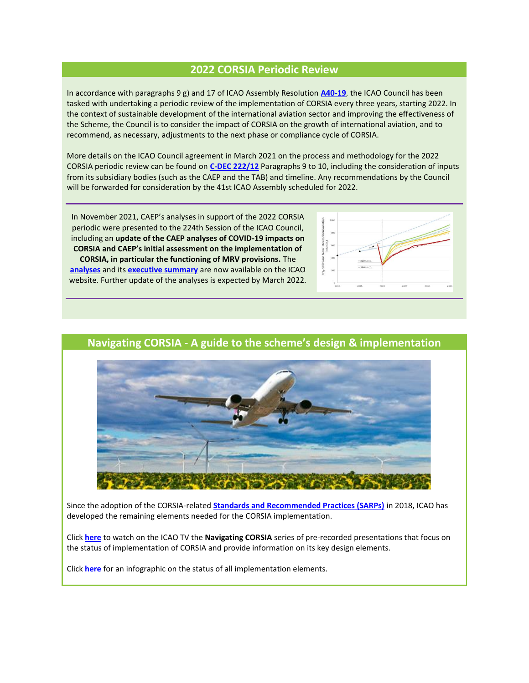### **2022 CORSIA Periodic Review**

In accordance with paragraphs 9 g) and 17 of ICAO Assembly Resolution **[A40-19](https://www.icao.int/environmental-protection/Documents/Assembly/Resolution_A40-19_CORSIA.pdf)**, the ICAO Council has been tasked with undertaking a periodic review of the implementation of CORSIA every three years, starting 2022. In the context of sustainable development of the international aviation sector and improving the effectiveness of the Scheme, the Council is to consider the impact of CORSIA on the growth of international aviation, and to recommend, as necessary, adjustments to the next phase or compliance cycle of CORSIA.

More details on the ICAO Council agreement in March 2021 on the process and methodology for the 2022 CORSIA periodic review can be found on **[C-DEC 222/12](https://www.icao.int/about-icao/Council/Pages/council_sessions_222.aspx)** Paragraphs 9 to 10, including the consideration of inputs from its subsidiary bodies (such as the CAEP and the TAB) and timeline. Any recommendations by the Council will be forwarded for consideration by the 41st ICAO Assembly scheduled for 2022.

In November 2021, CAEP's analyses in support of the 2022 CORSIA periodic were presented to the 224th Session of the ICAO Council, including an **update of the CAEP analyses of COVID-19 impacts on CORSIA and CAEP's initial assessment on the implementation of CORSIA, in particular the functioning of MRV provisions.** The **[analyses](https://www.icao.int/environmental-protection/CORSIA/Documents/CAEP_Analyses%20in%20support%20of%202022%20CORSIA%20periodic%20review.pdf)** and its **[executive summary](https://www.icao.int/environmental-protection/CORSIA/Documents/CAEP_Analyses%20in%20support%20of%202022%20CORSIA%20periodic%20review_Exec%20Summary.pdf)** are now available on the ICAO website. Further update of the analyses is expected by March 2022.



# **Navigating CORSIA - A guide to the scheme's design & implementation**



Since the adoption of the CORSIA-related **[Standards and Recommended Practices \(SARPs\)](https://www.icao.int/environmental-protection/CORSIA/Pages/SARPs-Annex-16-Volume-IV.aspx)** in 2018, ICAO has developed the remaining elements needed for the CORSIA implementation.

Click **[here](https://www.icao.tv/navigating-corsia)** to watch on the ICAO TV the **Navigating CORSIA** series of pre-recorded presentations that focus on the status of implementation of CORSIA and provide information on its key design elements.

Click **[here](https://www.icao.int/environmental-protection/CORSIA/Documents/Development%20of%20CORSIA%20implementation%20package.pdf)** for an infographic on the status of all implementation elements.